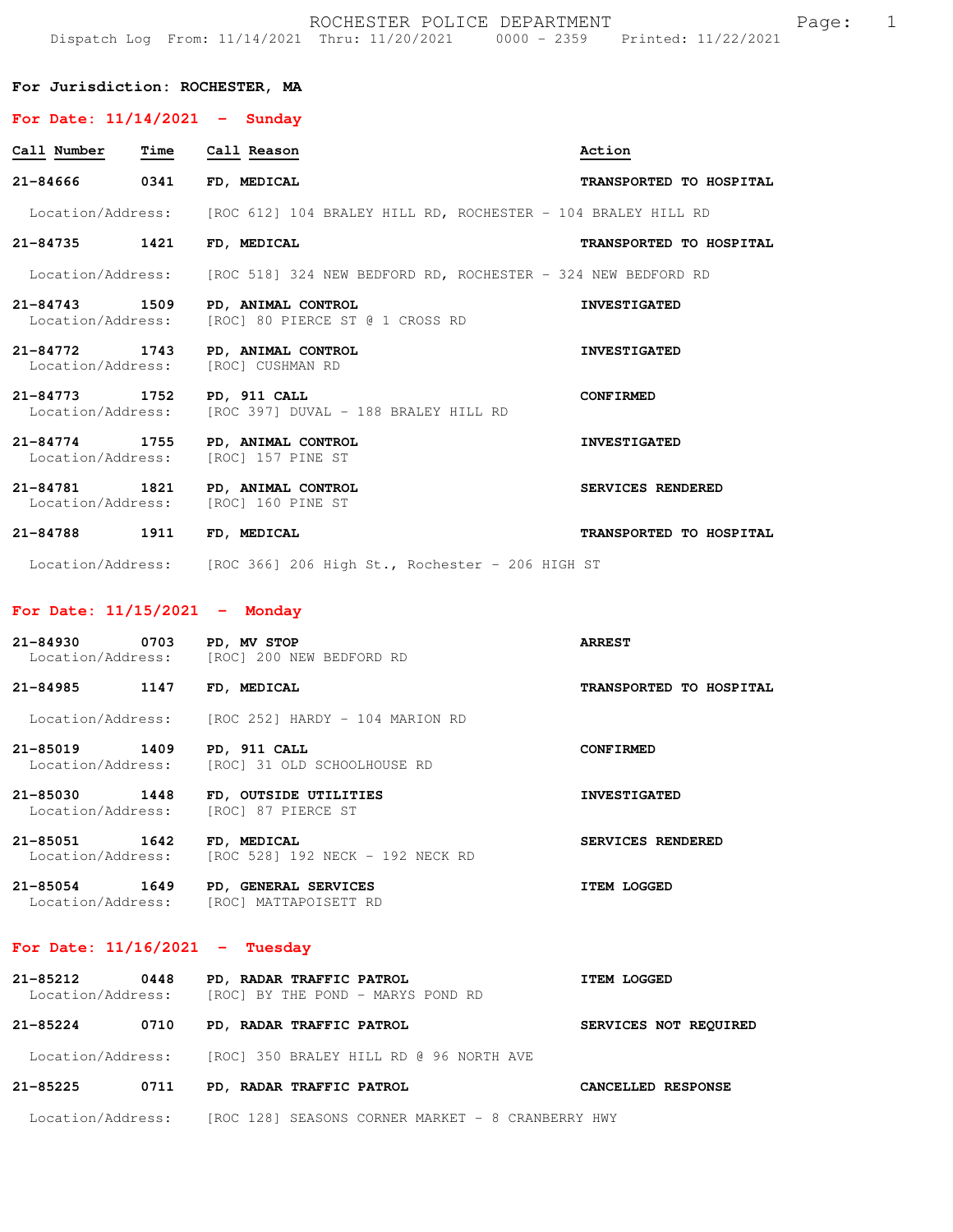|                                                |      | ROCHESTER POLICE DEPARTMENT<br>Dispatch Log From: 11/14/2021 Thru: 11/20/2021 0000 - 2359 Printed: 11/22/2021 |                         | $\mathbf 1$<br>Page: |
|------------------------------------------------|------|---------------------------------------------------------------------------------------------------------------|-------------------------|----------------------|
| For Jurisdiction: ROCHESTER, MA                |      |                                                                                                               |                         |                      |
| For Date: $11/14/2021$ - Sunday                |      |                                                                                                               |                         |                      |
| Call Number                                    | Time | Call Reason                                                                                                   | Action                  |                      |
| 21-84666                                       | 0341 | FD, MEDICAL                                                                                                   | TRANSPORTED TO HOSPITAL |                      |
| Location/Address:                              |      | [ROC 612] 104 BRALEY HILL RD, ROCHESTER - 104 BRALEY HILL RD                                                  |                         |                      |
| 21-84735                                       | 1421 | FD, MEDICAL                                                                                                   | TRANSPORTED TO HOSPITAL |                      |
| Location/Address:                              |      | [ROC 518] 324 NEW BEDFORD RD, ROCHESTER - 324 NEW BEDFORD RD                                                  |                         |                      |
| 21-84743<br>Location/Address:                  | 1509 | PD, ANIMAL CONTROL<br>[ROC] 80 PIERCE ST @ 1 CROSS RD                                                         | <b>INVESTIGATED</b>     |                      |
| $21 - 84772$<br>Location/Address:              | 1743 | PD, ANIMAL CONTROL<br>[ROC] CUSHMAN RD                                                                        | <b>INVESTIGATED</b>     |                      |
| 21-84773<br>Location/Address:                  | 1752 | PD, 911 CALL<br>[ROC 397] DUVAL - 188 BRALEY HILL RD                                                          | <b>CONFIRMED</b>        |                      |
| 21-84774 1755<br>Location/Address:             |      | PD, ANIMAL CONTROL<br>[ROC] 157 PINE ST                                                                       | <b>INVESTIGATED</b>     |                      |
| 21-84781<br>Location/Address:                  | 1821 | PD, ANIMAL CONTROL<br>[ROC] 160 PINE ST                                                                       | SERVICES RENDERED       |                      |
| 21-84788                                       | 1911 | FD, MEDICAL                                                                                                   | TRANSPORTED TO HOSPITAL |                      |
|                                                |      | Location/Address: [ROC 366] 206 High St., Rochester - 206 HIGH ST                                             |                         |                      |
| For Date: $11/15/2021$ - Monday                |      |                                                                                                               |                         |                      |
| 21-84930<br>Location/Address:                  | 0703 | PD, MV STOP<br>[ROC] 200 NEW BEDFORD RD                                                                       | <b>ARREST</b>           |                      |
| 21-84985                                       | 1147 | FD, MEDICAL                                                                                                   | TRANSPORTED TO HOSPITAL |                      |
|                                                |      | Location/Address: [ROC 252] HARDY - 104 MARION RD                                                             |                         |                      |
|                                                |      | 21-85019 1409 PD, 911 CALL<br>Location/Address: [ROC] 31 OLD SCHOOLHOUSE RD                                   | <b>CONFIRMED</b>        |                      |
| Location/Address:                              |      | 21-85030 1448 FD, OUTSIDE UTILITIES<br>[ROC] 87 PIERCE ST                                                     | <b>INVESTIGATED</b>     |                      |
| 21-85051 1642 FD, MEDICAL<br>Location/Address: |      | [ROC 528] 192 NECK - 192 NECK RD                                                                              | SERVICES RENDERED       |                      |
|                                                |      | 21-85054 1649 PD, GENERAL SERVICES<br>Location/Address: [ROC] MATTAPOISETT RD                                 | <b>ITEM LOGGED</b>      |                      |
|                                                |      | For Date: $11/16/2021$ - Tuesday                                                                              |                         |                      |
|                                                |      | 21-85212 0448 PD, RADAR TRAFFIC PATROL<br>Location/Address: [ROC] BY THE POND - MARYS POND RD                 | <b>ITEM LOGGED</b>      |                      |
|                                                |      | 21-85224 0710 PD, RADAR TRAFFIC PATROL                                                                        | SERVICES NOT REQUIRED   |                      |
|                                                |      | Location/Address: [ROC] 350 BRALEY HILL RD @ 96 NORTH AVE                                                     |                         |                      |
| 21-85225                                       | 0711 | PD, RADAR TRAFFIC PATROL                                                                                      | CANCELLED RESPONSE      |                      |

Location/Address: [ROC 128] SEASONS CORNER MARKET - 8 CRANBERRY HWY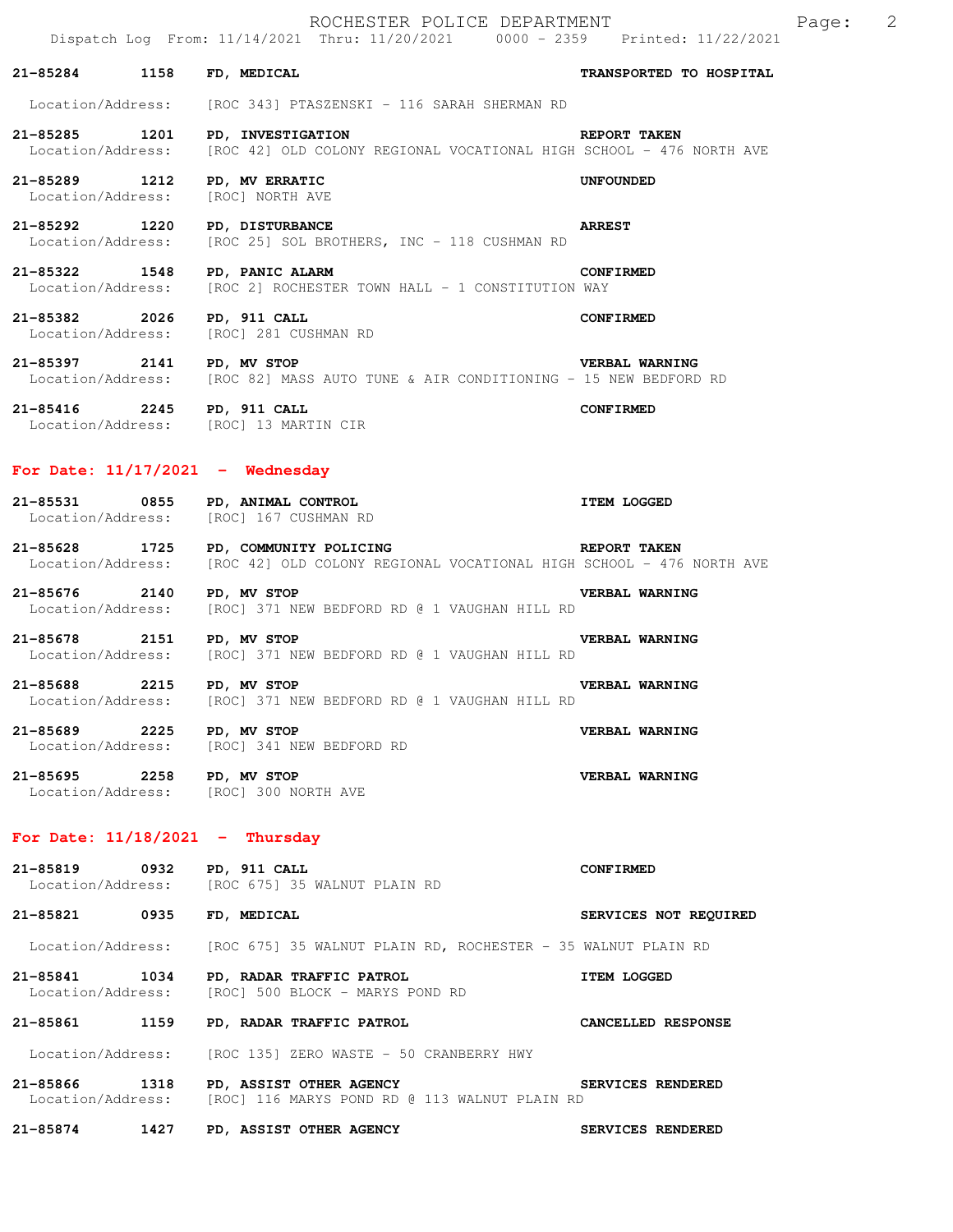|                                                |      | ROCHESTER POLICE DEPARTMENT<br>Dispatch Log From: 11/14/2021 Thru: 11/20/2021 0000 - 2359 Printed: 11/22/2021                                 |                          | Page: | 2 |
|------------------------------------------------|------|-----------------------------------------------------------------------------------------------------------------------------------------------|--------------------------|-------|---|
| 21-85284 1158                                  |      | FD, MEDICAL                                                                                                                                   | TRANSPORTED TO HOSPITAL  |       |   |
| Location/Address:                              |      | [ROC 343] PTASZENSKI - 116 SARAH SHERMAN RD                                                                                                   |                          |       |   |
| 21-85285 1201<br>Location/Address:             |      | PD, INVESTIGATION<br>[ROC 42] OLD COLONY REGIONAL VOCATIONAL HIGH SCHOOL - 476 NORTH AVE                                                      | <b>REPORT TAKEN</b>      |       |   |
| 21-85289 1212<br>Location/Address:             |      | PD, MV ERRATIC<br>[ROC] NORTH AVE                                                                                                             | <b>UNFOUNDED</b>         |       |   |
| 21-85292 1220                                  |      | <b>PD, DISTURBANCE</b><br>Location/Address: [ROC 25] SOL BROTHERS, INC - 118 CUSHMAN RD                                                       | <b>ARREST</b>            |       |   |
| 21-85322 1548                                  |      | <b>PD, PANIC ALARM</b><br>Location/Address: [ROC 2] ROCHESTER TOWN HALL - 1 CONSTITUTION WAY                                                  | CONFIRMED                |       |   |
| 21-85382 2026                                  |      | PD, 911 CALL<br>Location/Address: [ROC] 281 CUSHMAN RD                                                                                        | <b>CONFIRMED</b>         |       |   |
| 21-85397 2141 PD, MV STOP                      |      | Location/Address: [ROC 82] MASS AUTO TUNE & AIR CONDITIONING - 15 NEW BEDFORD RD                                                              | <b>VERBAL WARNING</b>    |       |   |
| 21-85416 2245 PD, 911 CALL                     |      | Location/Address: [ROC] 13 MARTIN CIR                                                                                                         | <b>CONFIRMED</b>         |       |   |
| For Date: $11/17/2021$ - Wednesday             |      |                                                                                                                                               |                          |       |   |
|                                                |      | 21-85531 0855 PD, ANIMAL CONTROL<br>Location/Address: [ROC] 167 CUSHMAN RD                                                                    | <b>ITEM LOGGED</b>       |       |   |
|                                                |      | REPORT TAKEN<br>21-85628 1725 PD, COMMUNITY POLICING<br>Location/Address: [ROC 42] OLD COLONY REGIONAL VOCATIONAL HIGH SCHOOL - 476 NORTH AVE |                          |       |   |
| 21-85676 2140<br>Location/Address:             |      | PD, MV STOP<br>[ROC] 371 NEW BEDFORD RD @ 1 VAUGHAN HILL RD                                                                                   | VERBAL WARNING           |       |   |
| 21-85678 2151                                  |      | PD, MV STOP<br>Location/Address: [ROC] 371 NEW BEDFORD RD @ 1 VAUGHAN HILL RD                                                                 | VERBAL WARNING           |       |   |
| 21-85688 2215 PD, MV STOP<br>Location/Address: |      | [ROC] 371 NEW BEDFORD RD @ 1 VAUGHAN HILL RD                                                                                                  | VERBAL WARNING           |       |   |
| 21-85689 2225 PD, MV STOP                      |      | Location/Address: [ROC] 341 NEW BEDFORD RD                                                                                                    | VERBAL WARNING           |       |   |
| 21-85695 2258                                  |      | PD, MV STOP<br>Location/Address: [ROC] 300 NORTH AVE                                                                                          | VERBAL WARNING           |       |   |
| For Date: $11/18/2021$ - Thursday              |      |                                                                                                                                               |                          |       |   |
| 21-85819                                       | 0932 | PD, 911 CALL<br>Location/Address: [ROC 675] 35 WALNUT PLAIN RD                                                                                | <b>CONFIRMED</b>         |       |   |
| 21-85821 0935                                  |      | FD, MEDICAL                                                                                                                                   | SERVICES NOT REQUIRED    |       |   |
|                                                |      | Location/Address: [ROC 675] 35 WALNUT PLAIN RD, ROCHESTER - 35 WALNUT PLAIN RD                                                                |                          |       |   |
| 21-85841 1034<br>Location/Address:             |      | PD, RADAR TRAFFIC PATROL<br>[ROC] 500 BLOCK - MARYS POND RD                                                                                   | <b>ITEM LOGGED</b>       |       |   |
| 21-85861 1159                                  |      | PD, RADAR TRAFFIC PATROL                                                                                                                      | CANCELLED RESPONSE       |       |   |
| Location/Address:                              |      | [ROC 135] ZERO WASTE - 50 CRANBERRY HWY                                                                                                       |                          |       |   |
| 21-85866 1318                                  |      | PD, ASSIST OTHER AGENCY<br>Location/Address: [ROC] 116 MARYS POND RD @ 113 WALNUT PLAIN RD                                                    | <b>SERVICES RENDERED</b> |       |   |
| 21-85874 1427                                  |      | PD, ASSIST OTHER AGENCY                                                                                                                       | SERVICES RENDERED        |       |   |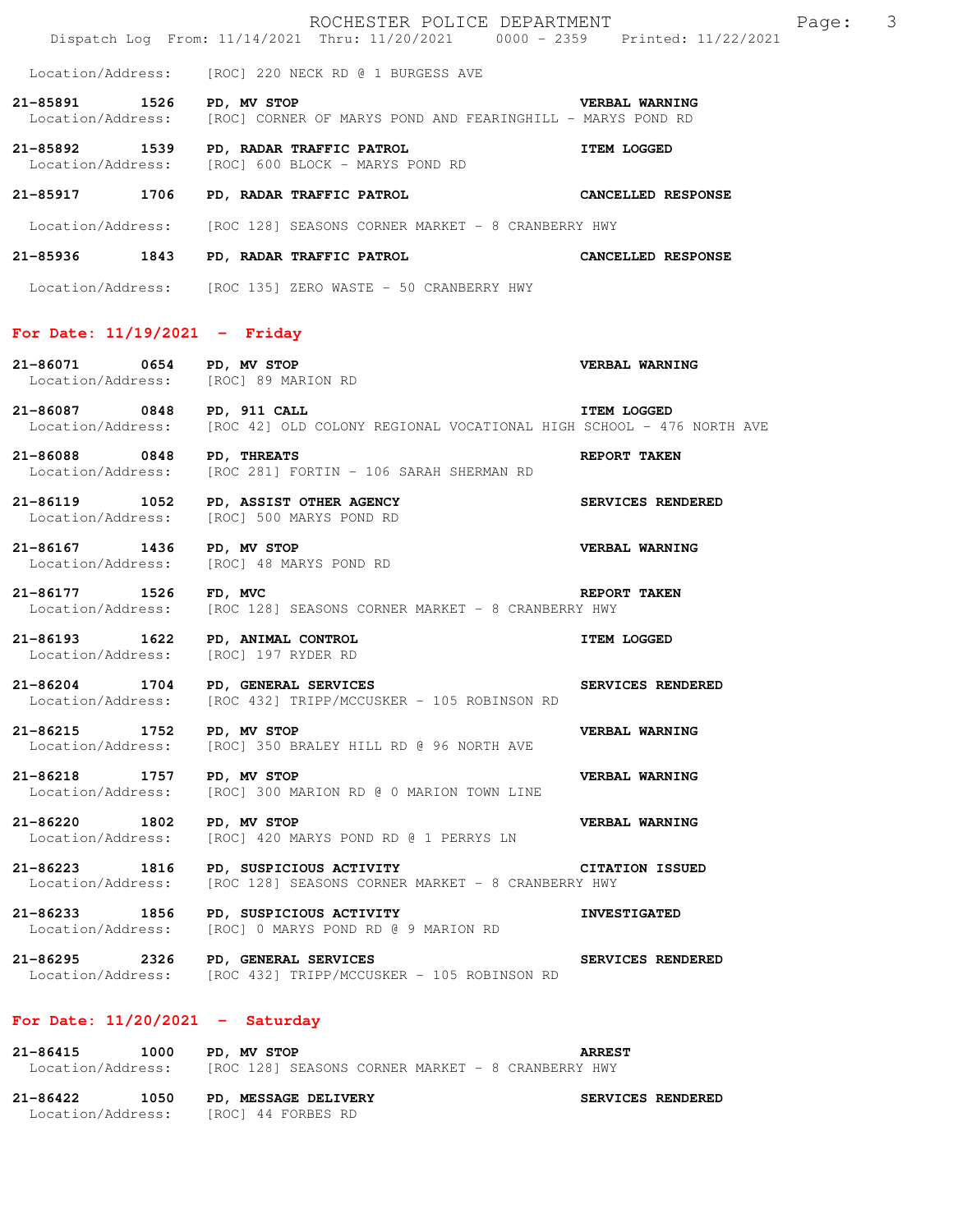|                                                                          | ROCHESTER POLICE DEPARTMENT<br>Dispatch Log From: 11/14/2021 Thru: 11/20/2021 0000 - 2359 Printed: 11/22/2021 | Page: 3                  |
|--------------------------------------------------------------------------|---------------------------------------------------------------------------------------------------------------|--------------------------|
|                                                                          | Location/Address: [ROC] 220 NECK RD @ 1 BURGESS AVE                                                           |                          |
| 21-85891 1526 PD, MV STOP                                                | Location/Address: [ROC] CORNER OF MARYS POND AND FEARINGHILL - MARYS POND RD                                  | <b>VERBAL WARNING</b>    |
|                                                                          | 21-85892 1539 PD, RADAR TRAFFIC PATROL<br>Location/Address: [ROC] 600 BLOCK - MARYS POND RD                   | <b>ITEM LOGGED</b>       |
|                                                                          | 21-85917 1706 PD, RADAR TRAFFIC PATROL CANCELLED RESPONSE                                                     |                          |
|                                                                          | Location/Address: [ROC 128] SEASONS CORNER MARKET - 8 CRANBERRY HWY                                           |                          |
|                                                                          | 21-85936 1843 PD, RADAR TRAFFIC PATROL CANCELLED RESPONSE                                                     |                          |
|                                                                          | Location/Address: [ROC 135] ZERO WASTE - 50 CRANBERRY HWY                                                     |                          |
| For Date: $11/19/2021$ - Friday                                          |                                                                                                               |                          |
| 21-86071 0654 PD, MV STOP<br>Location/Address: [ROC] 89 MARION RD        |                                                                                                               | <b>VERBAL WARNING</b>    |
| 21-86087 0848 PD, 911 CALL                                               | Location/Address: [ROC 42] OLD COLONY REGIONAL VOCATIONAL HIGH SCHOOL - 476 NORTH AVE                         | <b>ITEM LOGGED</b>       |
| 21-86088 0848 PD, THREATS                                                | Location/Address: [ROC 281] FORTIN - 106 SARAH SHERMAN RD                                                     | REPORT TAKEN             |
|                                                                          | 21-86119 1052 PD, ASSIST OTHER AGENCY<br>Location/Address: [ROC] 500 MARYS POND RD                            | <b>SERVICES RENDERED</b> |
| 21-86167 1436 PD, MV STOP                                                | Location/Address: [ROC] 48 MARYS POND RD                                                                      | VERBAL WARNING           |
| 21-86177 1526 FD, MVC                                                    | Location/Address: [ROC 128] SEASONS CORNER MARKET - 8 CRANBERRY HWY                                           | REPORT TAKEN             |
| 21-86193 1622 PD, ANIMAL CONTROL<br>Location/Address: [ROC] 197 RYDER RD |                                                                                                               | <b>ITEM LOGGED</b>       |
| 21-86204 1704 PD, GENERAL SERVICES                                       | Location/Address: [ROC 432] TRIPP/MCCUSKER - 105 ROBINSON RD                                                  | SERVICES RENDERED        |
| 21-86215 1752                                                            | PD, MV STOP<br>Location/Address: [ROC] 350 BRALEY HILL RD @ 96 NORTH AVE                                      | VERBAL WARNING           |
| 21-86218 1757 PD, MV STOP<br>Location/Address:                           | [ROC] 300 MARION RD @ 0 MARION TOWN LINE                                                                      | VERBAL WARNING           |
| 21-86220 1802<br>Location/Address:                                       | PD, MV STOP<br>[ROC] 420 MARYS POND RD @ 1 PERRYS LN                                                          | VERBAL WARNING           |
| Location/Address:                                                        | 21-86223 1816 PD, SUSPICIOUS ACTIVITY<br>[ROC 128] SEASONS CORNER MARKET - 8 CRANBERRY HWY                    | <b>CITATION ISSUED</b>   |
| Location/Address:                                                        | 21-86233 1856 PD, SUSPICIOUS ACTIVITY<br>[ROC] 0 MARYS POND RD @ 9 MARION RD                                  | <b>INVESTIGATED</b>      |
| 21-86295 2326 PD, GENERAL SERVICES                                       | Location/Address: [ROC 432] TRIPP/MCCUSKER - 105 ROBINSON RD                                                  | SERVICES RENDERED        |
| For Date: $11/20/2021$ - Saturday                                        |                                                                                                               |                          |
| 21-86415 1000 PD, MV STOP                                                | Location/Address: [ROC 128] SEASONS CORNER MARKET - 8 CRANBERRY HWY                                           | <b>ARREST</b>            |

21-86422 1050 PD, MESSAGE DELIVERY **SERVICES RENDERED** Location/Address: [ROC] 44 FORBES RD